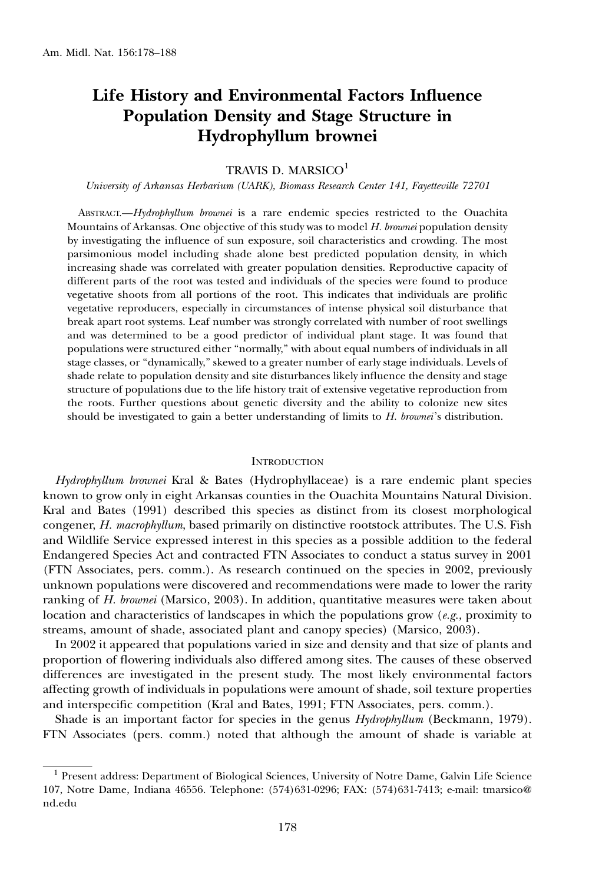# Life History and Environmental Factors Influence Population Density and Stage Structure in Hydrophyllum brownei

# TRAVIS D. MARSICO<sup>1</sup>

University of Arkansas Herbarium (UARK), Biomass Research Center 141, Fayetteville 72701

ABSTRACT.—Hydrophyllum brownei is a rare endemic species restricted to the Ouachita Mountains of Arkansas. One objective of this study was to model H. brownei population density by investigating the influence of sun exposure, soil characteristics and crowding. The most parsimonious model including shade alone best predicted population density, in which increasing shade was correlated with greater population densities. Reproductive capacity of different parts of the root was tested and individuals of the species were found to produce vegetative shoots from all portions of the root. This indicates that individuals are prolific vegetative reproducers, especially in circumstances of intense physical soil disturbance that break apart root systems. Leaf number was strongly correlated with number of root swellings and was determined to be a good predictor of individual plant stage. It was found that populations were structured either ''normally,'' with about equal numbers of individuals in all stage classes, or ''dynamically,'' skewed to a greater number of early stage individuals. Levels of shade relate to population density and site disturbances likely influence the density and stage structure of populations due to the life history trait of extensive vegetative reproduction from the roots. Further questions about genetic diversity and the ability to colonize new sites should be investigated to gain a better understanding of limits to H. brownei's distribution.

#### **INTRODUCTION**

Hydrophyllum brownei Kral & Bates (Hydrophyllaceae) is a rare endemic plant species known to grow only in eight Arkansas counties in the Ouachita Mountains Natural Division. Kral and Bates (1991) described this species as distinct from its closest morphological congener, H. macrophyllum, based primarily on distinctive rootstock attributes. The U.S. Fish and Wildlife Service expressed interest in this species as a possible addition to the federal Endangered Species Act and contracted FTN Associates to conduct a status survey in 2001 (FTN Associates, pers. comm.). As research continued on the species in 2002, previously unknown populations were discovered and recommendations were made to lower the rarity ranking of H. brownei (Marsico, 2003). In addition, quantitative measures were taken about location and characteristics of landscapes in which the populations grow ( $e.g.,$  proximity to streams, amount of shade, associated plant and canopy species) (Marsico, 2003).

In 2002 it appeared that populations varied in size and density and that size of plants and proportion of flowering individuals also differed among sites. The causes of these observed differences are investigated in the present study. The most likely environmental factors affecting growth of individuals in populations were amount of shade, soil texture properties and interspecific competition (Kral and Bates, 1991; FTN Associates, pers. comm.).

Shade is an important factor for species in the genus  $Hydrophylum$  (Beckmann, 1979). FTN Associates (pers. comm.) noted that although the amount of shade is variable at

<sup>&</sup>lt;sup>1</sup> Present address: Department of Biological Sciences, University of Notre Dame, Galvin Life Science 107, Notre Dame, Indiana 46556. Telephone: (574)631-0296; FAX: (574)631-7413; e-mail: tmarsico@ nd.edu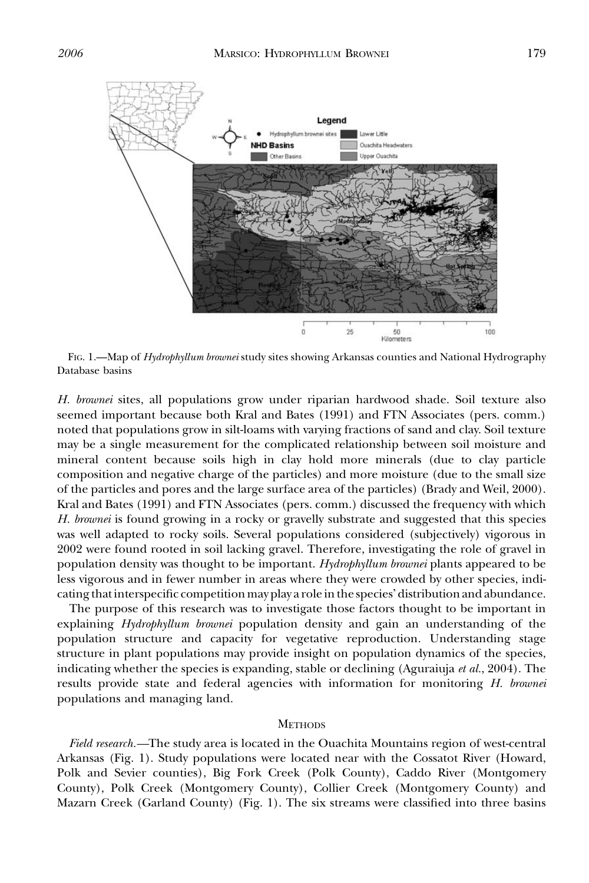

FIG. 1.—Map of Hydrophyllum brownei study sites showing Arkansas counties and National Hydrography Database basins

H. brownei sites, all populations grow under riparian hardwood shade. Soil texture also seemed important because both Kral and Bates (1991) and FTN Associates (pers. comm.) noted that populations grow in silt-loams with varying fractions of sand and clay. Soil texture may be a single measurement for the complicated relationship between soil moisture and mineral content because soils high in clay hold more minerals (due to clay particle composition and negative charge of the particles) and more moisture (due to the small size of the particles and pores and the large surface area of the particles) (Brady and Weil, 2000). Kral and Bates (1991) and FTN Associates (pers. comm.) discussed the frequency with which H. brownei is found growing in a rocky or gravelly substrate and suggested that this species was well adapted to rocky soils. Several populations considered (subjectively) vigorous in 2002 were found rooted in soil lacking gravel. Therefore, investigating the role of gravel in population density was thought to be important. Hydrophyllum brownei plants appeared to be less vigorous and in fewer number in areas where they were crowded by other species, indicating that interspecific competition may play a role in the species' distribution and abundance.

The purpose of this research was to investigate those factors thought to be important in explaining Hydrophyllum brownei population density and gain an understanding of the population structure and capacity for vegetative reproduction. Understanding stage structure in plant populations may provide insight on population dynamics of the species, indicating whether the species is expanding, stable or declining (Aguraiuja et al., 2004). The results provide state and federal agencies with information for monitoring H. brownei populations and managing land.

#### **METHODS**

Field research.—The study area is located in the Ouachita Mountains region of west-central Arkansas (Fig. 1). Study populations were located near with the Cossatot River (Howard, Polk and Sevier counties), Big Fork Creek (Polk County), Caddo River (Montgomery County), Polk Creek (Montgomery County), Collier Creek (Montgomery County) and Mazarn Creek (Garland County) (Fig. 1). The six streams were classified into three basins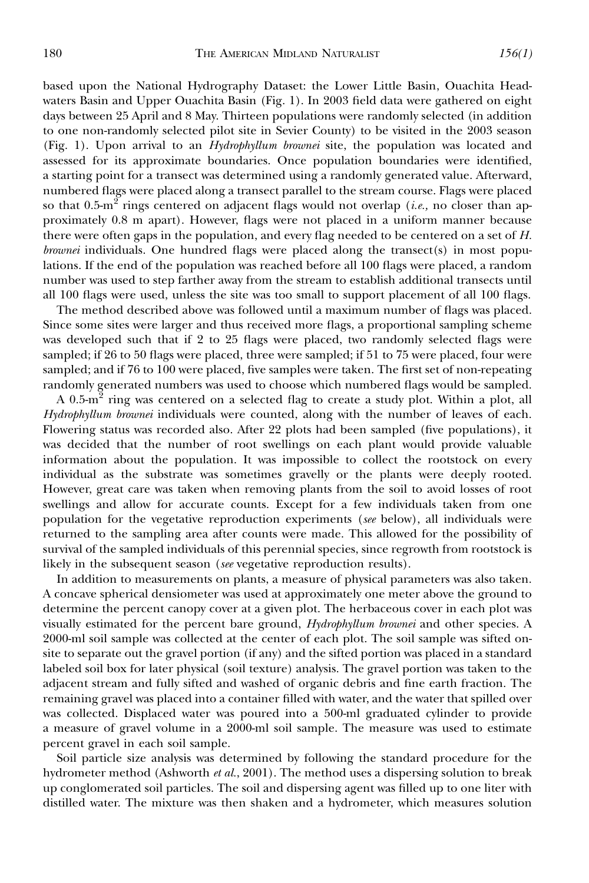based upon the National Hydrography Dataset: the Lower Little Basin, Ouachita Headwaters Basin and Upper Ouachita Basin (Fig. 1). In 2003 field data were gathered on eight days between 25 April and 8 May. Thirteen populations were randomly selected (in addition to one non-randomly selected pilot site in Sevier County) to be visited in the 2003 season (Fig. 1). Upon arrival to an Hydrophyllum brownei site, the population was located and assessed for its approximate boundaries. Once population boundaries were identified, a starting point for a transect was determined using a randomly generated value. Afterward, numbered flags were placed along a transect parallel to the stream course. Flags were placed so that 0.5-m<sup>2</sup> rings centered on adjacent flags would not overlap (*i.e.*, no closer than approximately 0.8 m apart). However, flags were not placed in a uniform manner because there were often gaps in the population, and every flag needed to be centered on a set of H. brownei individuals. One hundred flags were placed along the transect(s) in most populations. If the end of the population was reached before all 100 flags were placed, a random number was used to step farther away from the stream to establish additional transects until all 100 flags were used, unless the site was too small to support placement of all 100 flags.

The method described above was followed until a maximum number of flags was placed. Since some sites were larger and thus received more flags, a proportional sampling scheme was developed such that if 2 to 25 flags were placed, two randomly selected flags were sampled; if 26 to 50 flags were placed, three were sampled; if 51 to 75 were placed, four were sampled; and if 76 to 100 were placed, five samples were taken. The first set of non-repeating randomly generated numbers was used to choose which numbered flags would be sampled.

A 0.5-m<sup>2</sup> ring was centered on a selected flag to create a study plot. Within a plot, all Hydrophyllum brownei individuals were counted, along with the number of leaves of each. Flowering status was recorded also. After 22 plots had been sampled (five populations), it was decided that the number of root swellings on each plant would provide valuable information about the population. It was impossible to collect the rootstock on every individual as the substrate was sometimes gravelly or the plants were deeply rooted. However, great care was taken when removing plants from the soil to avoid losses of root swellings and allow for accurate counts. Except for a few individuals taken from one population for the vegetative reproduction experiments (see below), all individuals were returned to the sampling area after counts were made. This allowed for the possibility of survival of the sampled individuals of this perennial species, since regrowth from rootstock is likely in the subsequent season (see vegetative reproduction results).

In addition to measurements on plants, a measure of physical parameters was also taken. A concave spherical densiometer was used at approximately one meter above the ground to determine the percent canopy cover at a given plot. The herbaceous cover in each plot was visually estimated for the percent bare ground, Hydrophyllum brownei and other species. A 2000-ml soil sample was collected at the center of each plot. The soil sample was sifted onsite to separate out the gravel portion (if any) and the sifted portion was placed in a standard labeled soil box for later physical (soil texture) analysis. The gravel portion was taken to the adjacent stream and fully sifted and washed of organic debris and fine earth fraction. The remaining gravel was placed into a container filled with water, and the water that spilled over was collected. Displaced water was poured into a 500-ml graduated cylinder to provide a measure of gravel volume in a 2000-ml soil sample. The measure was used to estimate percent gravel in each soil sample.

Soil particle size analysis was determined by following the standard procedure for the hydrometer method (Ashworth  $et al., 2001$ ). The method uses a dispersing solution to break up conglomerated soil particles. The soil and dispersing agent was filled up to one liter with distilled water. The mixture was then shaken and a hydrometer, which measures solution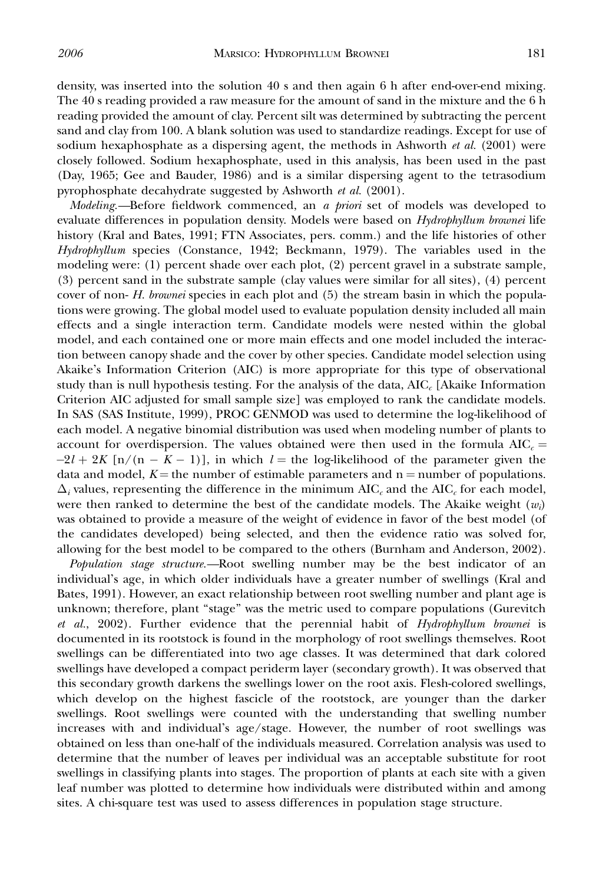density, was inserted into the solution 40 s and then again 6 h after end-over-end mixing. The 40 s reading provided a raw measure for the amount of sand in the mixture and the 6 h reading provided the amount of clay. Percent silt was determined by subtracting the percent sand and clay from 100. A blank solution was used to standardize readings. Except for use of sodium hexaphosphate as a dispersing agent, the methods in Ashworth  $et al. (2001)$  were closely followed. Sodium hexaphosphate, used in this analysis, has been used in the past (Day, 1965; Gee and Bauder, 1986) and is a similar dispersing agent to the tetrasodium pyrophosphate decahydrate suggested by Ashworth et al. (2001).

Modeling.—Before fieldwork commenced, an a priori set of models was developed to evaluate differences in population density. Models were based on Hydrophyllum brownei life history (Kral and Bates, 1991; FTN Associates, pers. comm.) and the life histories of other Hydrophyllum species (Constance, 1942; Beckmann, 1979). The variables used in the modeling were: (1) percent shade over each plot, (2) percent gravel in a substrate sample, (3) percent sand in the substrate sample (clay values were similar for all sites), (4) percent cover of non- H. brownei species in each plot and (5) the stream basin in which the populations were growing. The global model used to evaluate population density included all main effects and a single interaction term. Candidate models were nested within the global model, and each contained one or more main effects and one model included the interaction between canopy shade and the cover by other species. Candidate model selection using Akaike's Information Criterion (AIC) is more appropriate for this type of observational study than is null hypothesis testing. For the analysis of the data,  $AIC_c$  [Akaike Information Criterion AIC adjusted for small sample size] was employed to rank the candidate models. In SAS (SAS Institute, 1999), PROC GENMOD was used to determine the log-likelihood of each model. A negative binomial distribution was used when modeling number of plants to account for overdispersion. The values obtained were then used in the formula  $AIC_c =$  $-2l + 2K$  [n/(n - K - 1)], in which l = the log-likelihood of the parameter given the data and model,  $K =$  the number of estimable parameters and  $n =$  number of populations.  $\Delta_i$  values, representing the difference in the minimum AIC<sub>c</sub> and the AIC<sub>c</sub> for each model, were then ranked to determine the best of the candidate models. The Akaike weight  $(w_i)$ was obtained to provide a measure of the weight of evidence in favor of the best model (of the candidates developed) being selected, and then the evidence ratio was solved for, allowing for the best model to be compared to the others (Burnham and Anderson, 2002).

Population stage structure.—Root swelling number may be the best indicator of an individual's age, in which older individuals have a greater number of swellings (Kral and Bates, 1991). However, an exact relationship between root swelling number and plant age is unknown; therefore, plant "stage" was the metric used to compare populations (Gurevitch et al., 2002). Further evidence that the perennial habit of Hydrophyllum brownei is documented in its rootstock is found in the morphology of root swellings themselves. Root swellings can be differentiated into two age classes. It was determined that dark colored swellings have developed a compact periderm layer (secondary growth). It was observed that this secondary growth darkens the swellings lower on the root axis. Flesh-colored swellings, which develop on the highest fascicle of the rootstock, are younger than the darker swellings. Root swellings were counted with the understanding that swelling number increases with and individual's age/stage. However, the number of root swellings was obtained on less than one-half of the individuals measured. Correlation analysis was used to determine that the number of leaves per individual was an acceptable substitute for root swellings in classifying plants into stages. The proportion of plants at each site with a given leaf number was plotted to determine how individuals were distributed within and among sites. A chi-square test was used to assess differences in population stage structure.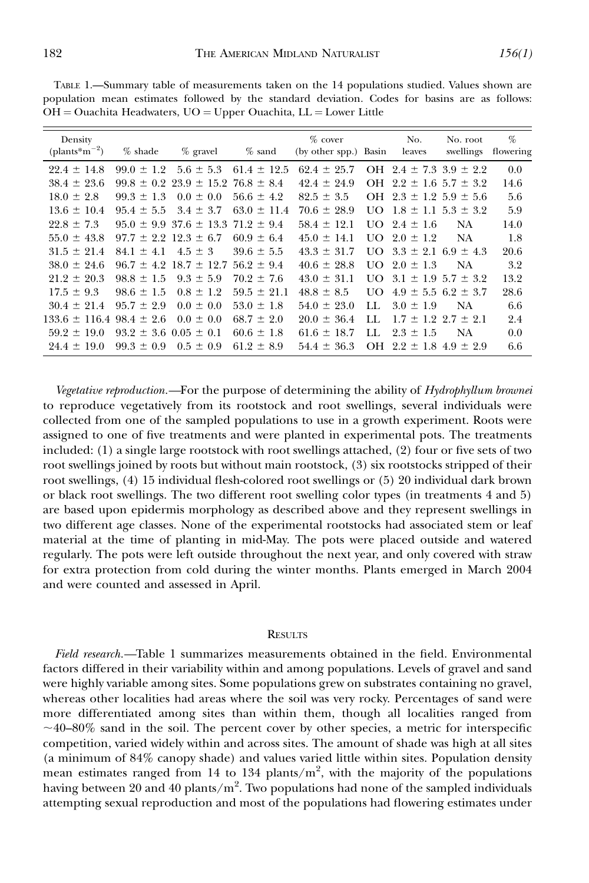TABLE 1.—Summary table of measurements taken on the 14 populations studied. Values shown are population mean estimates followed by the standard deviation. Codes for basins are as follows:  $OH =$  Ouachita Headwaters,  $UO =$  Upper Ouachita,  $LL =$  Lower Little

| Density<br>$(\text{plants}^*\text{m}^{-2})$ | $%$ shade                     | $\%$ gravel $\%$ sand                         |                 | $%$ cover<br>(by other spp.) Basin |                | No.<br>leaves                     | No. root<br>swellings          | %<br>flowering |
|---------------------------------------------|-------------------------------|-----------------------------------------------|-----------------|------------------------------------|----------------|-----------------------------------|--------------------------------|----------------|
| $22.4 \pm 14.8$                             | $99.0 \pm 1.2$                | $5.6 \pm 5.3$                                 | $61.4 \pm 12.5$ | $62.4 \pm 25.7$                    |                | OH $2.4 \pm 7.3$ 3.9 $\pm$ 2.2    |                                | 0.0            |
| $38.4 \pm 23.6$                             |                               | $99.8 \pm 0.2$ 23.9 $\pm$ 15.2 76.8 $\pm$ 8.4 |                 | $42.4 \pm 24.9$                    |                | OH $2.2 \pm 1.6$ 5.7 $\pm$ 3.2    |                                | 14.6           |
| $18.0 \pm 2.8$                              | $99.3 \pm 1.3$                | $0.0 \pm 0.0$                                 | $56.6 \pm 4.2$  | $82.5 \pm 3.5$                     |                |                                   | OH $2.3 \pm 1.2$ 5.9 $\pm$ 5.6 | 5.6            |
| $13.6 \pm 10.4$                             | $95.4 \pm 5.5$                | $3.4 \pm 3.7$                                 | $63.0 \pm 11.4$ | $70.6 \pm 28.9$                    |                | UO $1.8 \pm 1.1$ $5.3 \pm 3.2$    |                                | 5.9            |
| $22.8 \pm 7.3$                              |                               | $95.0 \pm 9.9$ 37.6 $\pm$ 13.3 71.2 $\pm$ 9.4 |                 | $58.4 \pm 12.1$                    |                | $110 \t2.4 \t1.6$                 | NA.                            | 14.0           |
| $55.0 \pm 43.8$                             | $97.7 \pm 2.2$ 12.3 $\pm$ 6.7 |                                               | $60.9 \pm 6.4$  | $45.0 \pm 14.1$                    |                | $UO \t2.0 \pm 1.2$                | NA                             | 1.8            |
| $31.5 \pm 21.4$                             | $84.1 \pm 4.1$                | $4.5 \pm 3$                                   | $39.6 \pm 5.5$  | $43.3 \pm 31.7$                    |                | $100 \t3.3 \pm 2.1 \t6.9 \pm 4.3$ |                                | 20.6           |
| $38.0 \pm 24.6$                             |                               | $96.7 \pm 4.2$ 18.7 $\pm$ 12.7 56.2 $\pm$ 9.4 |                 | $40.6 \pm 28.8$                    |                | $100 \t2.0 \pm 1.3$               | NA.                            | 3.2            |
| $21.2 \pm 20.3$                             | $98.8 \pm 1.5$                | $9.3 \pm 5.9$                                 | $70.2 \pm 7.6$  | $43.0 \pm 31.1$                    |                | UO $3.1 \pm 1.9$ 5.7 $\pm 3.2$    |                                | 13.2           |
| $17.5 \pm 9.3$                              | $98.6 \pm 1.5$                | $0.8 \pm 1.2$                                 | $59.5 \pm 21.1$ | $48.8 + 8.5$                       | $\overline{U}$ | $4.9 \pm 5.5$ 6.2 $\pm$ 3.7       |                                | 28.6           |
| $30.4 \pm 21.4$                             | $95.7 \pm 2.9$                | $0.0 \pm 0.0$                                 | $53.0 \pm 1.8$  | $54.0 \pm 23.0$                    | LL.            | $3.0 \pm 1.9$                     | NA.                            | 6.6            |
| $133.6 \pm 116.4$ 98.4 $\pm$ 2.6            |                               | $0.0 \pm 0.0$                                 | $68.7 \pm 2.0$  | $20.0 \pm 36.4$                    | LL.            | $1.7 \pm 1.2$ $2.7 \pm 2.1$       |                                | 2.4            |
| $59.2 \pm 19.0$                             | $93.2 \pm 3.6$ 0.05 $\pm$ 0.1 |                                               | $60.6 \pm 1.8$  | $61.6 \pm 18.7$                    | LL.            | $2.3 \pm 1.5$                     | NA.                            | 0.0            |
| $24.4 \pm 19.0$                             | $99.3 \pm 0.9$                | $0.5 \pm 0.9$                                 | $61.2 \pm 8.9$  | $54.4 \pm 36.3$                    |                | OH $2.2 \pm 1.8$ 4.9 $\pm 2.9$    |                                | 6.6            |

Vegetative reproduction.—For the purpose of determining the ability of Hydrophyllum brownei to reproduce vegetatively from its rootstock and root swellings, several individuals were collected from one of the sampled populations to use in a growth experiment. Roots were assigned to one of five treatments and were planted in experimental pots. The treatments included: (1) a single large rootstock with root swellings attached, (2) four or five sets of two root swellings joined by roots but without main rootstock, (3) six rootstocks stripped of their root swellings, (4) 15 individual flesh-colored root swellings or (5) 20 individual dark brown or black root swellings. The two different root swelling color types (in treatments 4 and 5) are based upon epidermis morphology as described above and they represent swellings in two different age classes. None of the experimental rootstocks had associated stem or leaf material at the time of planting in mid-May. The pots were placed outside and watered regularly. The pots were left outside throughout the next year, and only covered with straw for extra protection from cold during the winter months. Plants emerged in March 2004 and were counted and assessed in April.

#### **RESULTS**

Field research.—Table 1 summarizes measurements obtained in the field. Environmental factors differed in their variability within and among populations. Levels of gravel and sand were highly variable among sites. Some populations grew on substrates containing no gravel, whereas other localities had areas where the soil was very rocky. Percentages of sand were more differentiated among sites than within them, though all localities ranged from  $\sim$ 40–80% sand in the soil. The percent cover by other species, a metric for interspecific competition, varied widely within and across sites. The amount of shade was high at all sites (a minimum of 84% canopy shade) and values varied little within sites. Population density mean estimates ranged from 14 to 134 plants/ $m^2$ , with the majority of the populations having between 20 and 40 plants/m<sup>2</sup>. Two populations had none of the sampled individuals attempting sexual reproduction and most of the populations had flowering estimates under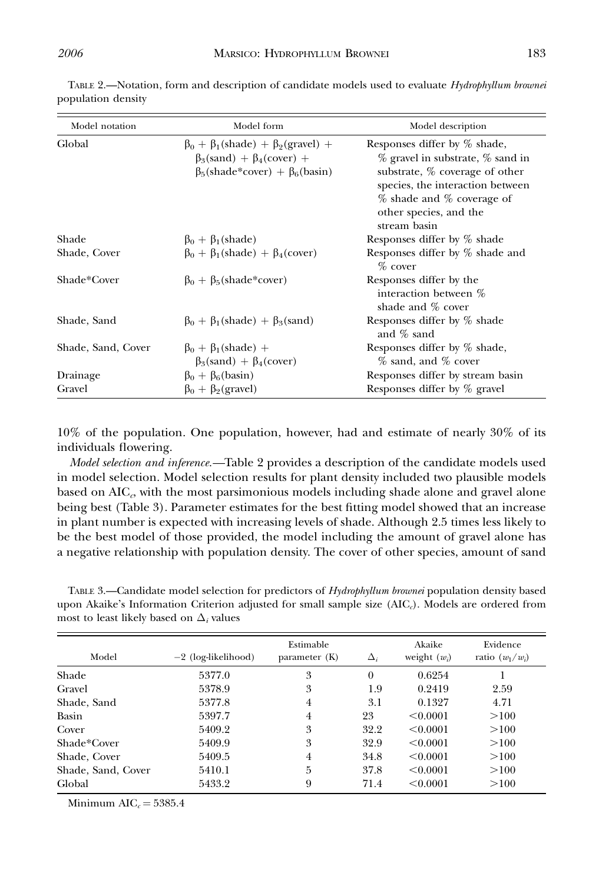| Model notation                                   | Model form                                                                                                                                  | Model description                                                                                                                                                                                                   |  |  |  |
|--------------------------------------------------|---------------------------------------------------------------------------------------------------------------------------------------------|---------------------------------------------------------------------------------------------------------------------------------------------------------------------------------------------------------------------|--|--|--|
| Global                                           | $\beta_0 + \beta_1$ (shade) + $\beta_2$ (gravel) +<br>$\beta_3$ (sand) + $\beta_4$ (cover) +<br>$\beta_5$ (shade*cover) + $\beta_6$ (basin) | Responses differ by % shade,<br>$\%$ gravel in substrate, $\%$ sand in<br>substrate, % coverage of other<br>species, the interaction between<br>% shade and % coverage of<br>other species, and the<br>stream basin |  |  |  |
| Shade                                            | $\beta_0 + \beta_1$ (shade)                                                                                                                 | Responses differ by % shade                                                                                                                                                                                         |  |  |  |
| Shade, Cover                                     | $\beta_0 + \beta_1$ (shade) + $\beta_4$ (cover)                                                                                             | Responses differ by % shade and<br>$\%$ cover                                                                                                                                                                       |  |  |  |
| Shade*Cover<br>$\beta_0 + \beta_5$ (shade*cover) |                                                                                                                                             | Responses differ by the<br>interaction between %<br>shade and % cover                                                                                                                                               |  |  |  |
| Shade, Sand                                      | $\beta_0 + \beta_1$ (shade) + $\beta_3$ (sand)                                                                                              | Responses differ by % shade<br>and $\%$ sand                                                                                                                                                                        |  |  |  |
| Shade, Sand, Cover                               | $\beta_0 + \beta_1$ (shade) +<br>$\beta_3$ (sand) + $\beta_4$ (cover)                                                                       | Responses differ by % shade,<br>$\%$ sand, and $\%$ cover                                                                                                                                                           |  |  |  |
| Drainage                                         | $\beta_0 + \beta_6$ (basin)                                                                                                                 | Responses differ by stream basin                                                                                                                                                                                    |  |  |  |
| Gravel                                           | $\beta_0 + \beta_2$ (gravel)                                                                                                                | Responses differ by % gravel                                                                                                                                                                                        |  |  |  |

TABLE 2.—Notation, form and description of candidate models used to evaluate Hydrophyllum brownei population density

10% of the population. One population, however, had and estimate of nearly 30% of its individuals flowering.

Model selection and inference.—Table 2 provides a description of the candidate models used in model selection. Model selection results for plant density included two plausible models based on  $AIC<sub>c</sub>$  with the most parsimonious models including shade alone and gravel alone being best (Table 3). Parameter estimates for the best fitting model showed that an increase in plant number is expected with increasing levels of shade. Although 2.5 times less likely to be the best model of those provided, the model including the amount of gravel alone has a negative relationship with population density. The cover of other species, amount of sand

TABLE 3.—Candidate model selection for predictors of Hydrophyllum brownei population density based upon Akaike's Information Criterion adjusted for small sample size (AIC<sub>c</sub>). Models are ordered from most to least likely based on  $\Delta_i$  values

| Model              | $-2$ (log-likelihood) | Estimable<br>parameter (K) | $\Delta_i$ | Akaike<br>weight $(w_i)$ | Evidence<br>ratio $(w_1/w_i)$ |
|--------------------|-----------------------|----------------------------|------------|--------------------------|-------------------------------|
| Shade              | 5377.0                | 3                          | $\Omega$   | 0.6254                   |                               |
| Gravel             | 5378.9                | 3                          | 1.9        | 0.2419                   | 2.59                          |
| Shade, Sand        | 5377.8                | $\overline{4}$             | 3.1        | 0.1327                   | 4.71                          |
| Basin              | 5397.7                | 4                          | 23         | < 0.0001                 | >100                          |
| Cover              | 5409.2                | 3                          | 32.2       | < 0.0001                 | >100                          |
| Shade*Cover        | 5409.9                | 3                          | 32.9       | < 0.0001                 | >100                          |
| Shade, Cover       | 5409.5                | $\overline{4}$             | 34.8       | < 0.0001                 | >100                          |
| Shade, Sand, Cover | 5410.1                | 5                          | 37.8       | < 0.0001                 | >100                          |
| Global             | 5433.2                | 9                          | 71.4       | < 0.0001                 | >100                          |

Minimum  $AIC_c = 5385.4$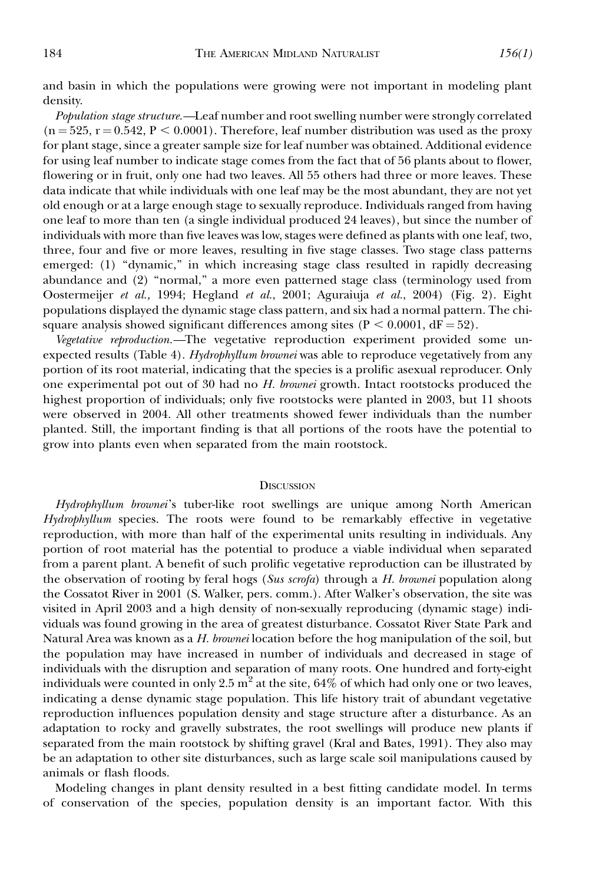and basin in which the populations were growing were not important in modeling plant density.

Population stage structure.—Leaf number and root swelling number were strongly correlated  $(n = 525, r = 0.542, P < 0.0001)$ . Therefore, leaf number distribution was used as the proxy for plant stage, since a greater sample size for leaf number was obtained. Additional evidence for using leaf number to indicate stage comes from the fact that of 56 plants about to flower, flowering or in fruit, only one had two leaves. All 55 others had three or more leaves. These data indicate that while individuals with one leaf may be the most abundant, they are not yet old enough or at a large enough stage to sexually reproduce. Individuals ranged from having one leaf to more than ten (a single individual produced 24 leaves), but since the number of individuals with more than five leaves was low, stages were defined as plants with one leaf, two, three, four and five or more leaves, resulting in five stage classes. Two stage class patterns emerged: (1) "dynamic," in which increasing stage class resulted in rapidly decreasing abundance and (2) ''normal,'' a more even patterned stage class (terminology used from Oostermeijer et al., 1994; Hegland et al., 2001; Aguraiuja et al., 2004) (Fig. 2). Eight populations displayed the dynamic stage class pattern, and six had a normal pattern. The chisquare analysis showed significant differences among sites ( $P < 0.0001$ , dF = 52).

Vegetative reproduction.—The vegetative reproduction experiment provided some unexpected results (Table 4). Hydrophyllum brownei was able to reproduce vegetatively from any portion of its root material, indicating that the species is a prolific asexual reproducer. Only one experimental pot out of 30 had no H. brownei growth. Intact rootstocks produced the highest proportion of individuals; only five rootstocks were planted in 2003, but 11 shoots were observed in 2004. All other treatments showed fewer individuals than the number planted. Still, the important finding is that all portions of the roots have the potential to grow into plants even when separated from the main rootstock.

### **DISCUSSION**

Hydrophyllum brownei's tuber-like root swellings are unique among North American Hydrophyllum species. The roots were found to be remarkably effective in vegetative reproduction, with more than half of the experimental units resulting in individuals. Any portion of root material has the potential to produce a viable individual when separated from a parent plant. A benefit of such prolific vegetative reproduction can be illustrated by the observation of rooting by feral hogs (Sus scrofa) through a H. brownei population along the Cossatot River in 2001 (S. Walker, pers. comm.). After Walker's observation, the site was visited in April 2003 and a high density of non-sexually reproducing (dynamic stage) individuals was found growing in the area of greatest disturbance. Cossatot River State Park and Natural Area was known as a H. brownei location before the hog manipulation of the soil, but the population may have increased in number of individuals and decreased in stage of individuals with the disruption and separation of many roots. One hundred and forty-eight individuals were counted in only 2.5  $m^2$  at the site, 64% of which had only one or two leaves, indicating a dense dynamic stage population. This life history trait of abundant vegetative reproduction influences population density and stage structure after a disturbance. As an adaptation to rocky and gravelly substrates, the root swellings will produce new plants if separated from the main rootstock by shifting gravel (Kral and Bates, 1991). They also may be an adaptation to other site disturbances, such as large scale soil manipulations caused by animals or flash floods.

Modeling changes in plant density resulted in a best fitting candidate model. In terms of conservation of the species, population density is an important factor. With this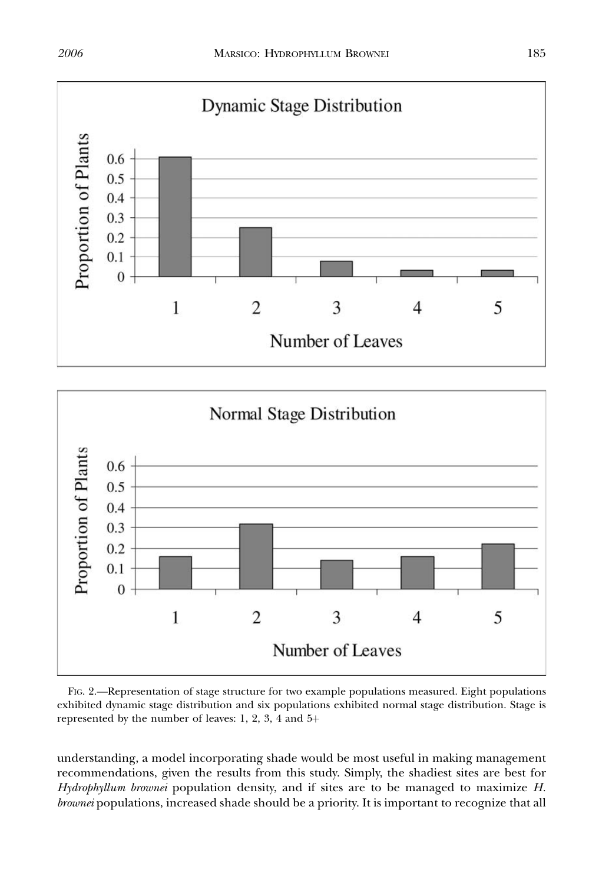



FIG. 2.—Representation of stage structure for two example populations measured. Eight populations exhibited dynamic stage distribution and six populations exhibited normal stage distribution. Stage is represented by the number of leaves: 1, 2, 3, 4 and  $5+$ 

understanding, a model incorporating shade would be most useful in making management recommendations, given the results from this study. Simply, the shadiest sites are best for Hydrophyllum brownei population density, and if sites are to be managed to maximize H. brownei populations, increased shade should be a priority. It is important to recognize that all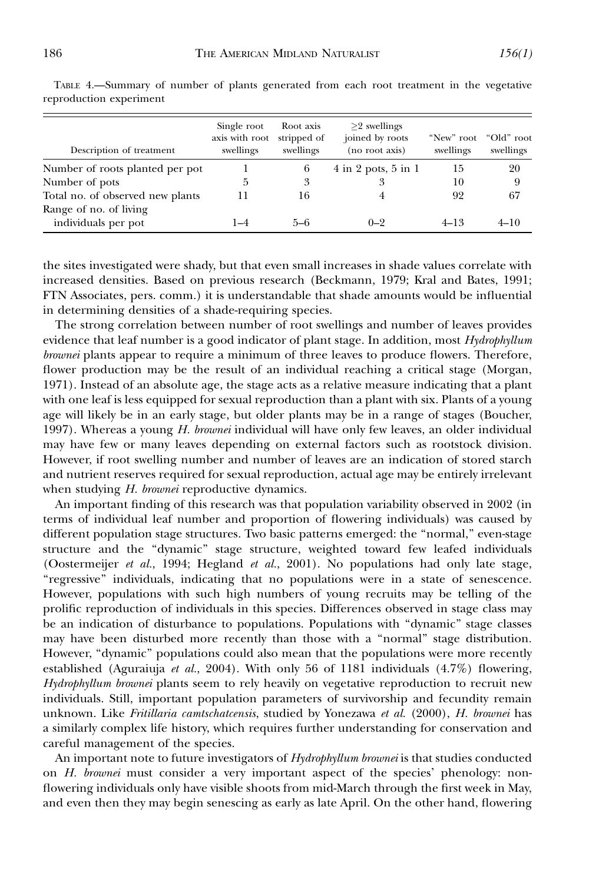| Description of treatment                      | Single root<br>axis with root<br>swellings | Root axis<br>stripped of<br>swellings | $\geq$ swellings<br>joined by roots<br>(no root axis) | "New" root<br>swellings | "Old" root<br>swellings |
|-----------------------------------------------|--------------------------------------------|---------------------------------------|-------------------------------------------------------|-------------------------|-------------------------|
| Number of roots planted per pot               |                                            | 6                                     | $4$ in 2 pots, $5$ in 1                               | 15                      | 20                      |
| Number of pots                                | 5                                          | 3                                     |                                                       | 10                      | 9                       |
| Total no. of observed new plants              | 11                                         | 16                                    |                                                       | 92                      | 67                      |
| Range of no. of living<br>individuals per pot | $1 - 4$                                    | $5-6$                                 | $0 - 2$                                               | $4 - 13$                | $4 - 10$                |

TABLE 4.—Summary of number of plants generated from each root treatment in the vegetative reproduction experiment

the sites investigated were shady, but that even small increases in shade values correlate with increased densities. Based on previous research (Beckmann, 1979; Kral and Bates, 1991; FTN Associates, pers. comm.) it is understandable that shade amounts would be influential in determining densities of a shade-requiring species.

The strong correlation between number of root swellings and number of leaves provides evidence that leaf number is a good indicator of plant stage. In addition, most Hydrophyllum brownei plants appear to require a minimum of three leaves to produce flowers. Therefore, flower production may be the result of an individual reaching a critical stage (Morgan, 1971). Instead of an absolute age, the stage acts as a relative measure indicating that a plant with one leaf is less equipped for sexual reproduction than a plant with six. Plants of a young age will likely be in an early stage, but older plants may be in a range of stages (Boucher, 1997). Whereas a young H. brownei individual will have only few leaves, an older individual may have few or many leaves depending on external factors such as rootstock division. However, if root swelling number and number of leaves are an indication of stored starch and nutrient reserves required for sexual reproduction, actual age may be entirely irrelevant when studying H. brownei reproductive dynamics.

An important finding of this research was that population variability observed in 2002 (in terms of individual leaf number and proportion of flowering individuals) was caused by different population stage structures. Two basic patterns emerged: the "normal," even-stage structure and the ''dynamic'' stage structure, weighted toward few leafed individuals (Oostermeijer et al., 1994; Hegland et al., 2001). No populations had only late stage, ''regressive'' individuals, indicating that no populations were in a state of senescence. However, populations with such high numbers of young recruits may be telling of the prolific reproduction of individuals in this species. Differences observed in stage class may be an indication of disturbance to populations. Populations with ''dynamic'' stage classes may have been disturbed more recently than those with a ''normal'' stage distribution. However, "dynamic" populations could also mean that the populations were more recently established (Aguraiuja et al., 2004). With only 56 of 1181 individuals  $(4.7%)$  flowering, Hydrophyllum brownei plants seem to rely heavily on vegetative reproduction to recruit new individuals. Still, important population parameters of survivorship and fecundity remain unknown. Like Fritillaria camtschatcensis, studied by Yonezawa et al. (2000), H. brownei has a similarly complex life history, which requires further understanding for conservation and careful management of the species.

An important note to future investigators of Hydrophyllum brownei is that studies conducted on H. brownei must consider a very important aspect of the species' phenology: nonflowering individuals only have visible shoots from mid-March through the first week in May, and even then they may begin senescing as early as late April. On the other hand, flowering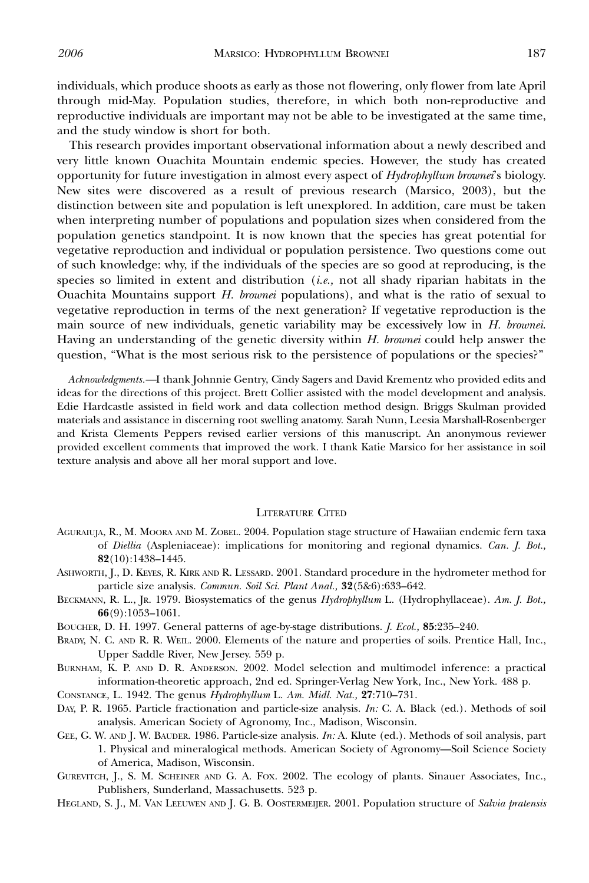individuals, which produce shoots as early as those not flowering, only flower from late April through mid-May. Population studies, therefore, in which both non-reproductive and reproductive individuals are important may not be able to be investigated at the same time, and the study window is short for both.

This research provides important observational information about a newly described and very little known Ouachita Mountain endemic species. However, the study has created opportunity for future investigation in almost every aspect of Hydrophyllum brownei's biology. New sites were discovered as a result of previous research (Marsico, 2003), but the distinction between site and population is left unexplored. In addition, care must be taken when interpreting number of populations and population sizes when considered from the population genetics standpoint. It is now known that the species has great potential for vegetative reproduction and individual or population persistence. Two questions come out of such knowledge: why, if the individuals of the species are so good at reproducing, is the species so limited in extent and distribution (*i.e.*, not all shady riparian habitats in the Ouachita Mountains support H. brownei populations), and what is the ratio of sexual to vegetative reproduction in terms of the next generation? If vegetative reproduction is the main source of new individuals, genetic variability may be excessively low in H. brownei. Having an understanding of the genetic diversity within H. brownei could help answer the question, ''What is the most serious risk to the persistence of populations or the species?''

Acknowledgments.—I thank Johnnie Gentry, Cindy Sagers and David Krementz who provided edits and ideas for the directions of this project. Brett Collier assisted with the model development and analysis. Edie Hardcastle assisted in field work and data collection method design. Briggs Skulman provided materials and assistance in discerning root swelling anatomy. Sarah Nunn, Leesia Marshall-Rosenberger and Krista Clements Peppers revised earlier versions of this manuscript. An anonymous reviewer provided excellent comments that improved the work. I thank Katie Marsico for her assistance in soil texture analysis and above all her moral support and love.

## LITERATURE CITED

- AGURAIUJA, R., M. MOORA AND M. ZOBEL. 2004. Population stage structure of Hawaiian endemic fern taxa of Diellia (Aspleniaceae): implications for monitoring and regional dynamics. Can. J. Bot., 82(10):1438–1445.
- ASHWORTH, J., D. KEYES, R. KIRK AND R. LESSARD. 2001. Standard procedure in the hydrometer method for particle size analysis. Commun. Soil Sci. Plant Anal., 32(5&6):633-642.
- BECKMANN, R. L., Jr. 1979. Biosystematics of the genus Hydrophyllum L. (Hydrophyllaceae). Am. J. Bot., 66(9):1053–1061.
- BOUCHER, D. H. 1997. General patterns of age-by-stage distributions. J. Ecol., 85:235–240.
- BRADY, N. C. AND R. R. WEIL. 2000. Elements of the nature and properties of soils. Prentice Hall, Inc., Upper Saddle River, New Jersey. 559 p.
- BURNHAM, K. P. AND D. R. ANDERSON. 2002. Model selection and multimodel inference: a practical information-theoretic approach, 2nd ed. Springer-Verlag New York, Inc., New York. 488 p.
- CONSTANCE, L. 1942. The genus Hydrophyllum L. Am. Midl. Nat., 27:710–731.
- DAY, P. R. 1965. Particle fractionation and particle-size analysis. In: C. A. Black (ed.). Methods of soil analysis. American Society of Agronomy, Inc., Madison, Wisconsin.
- GEE, G. W. AND J. W. BAUDER. 1986. Particle-size analysis. In: A. Klute (ed.). Methods of soil analysis, part 1. Physical and mineralogical methods. American Society of Agronomy—Soil Science Society of America, Madison, Wisconsin.
- GUREVITCH, J., S. M. SCHEINER AND G. A. FOX. 2002. The ecology of plants. Sinauer Associates, Inc., Publishers, Sunderland, Massachusetts. 523 p.
- HEGLAND, S. J., M. VAN LEEUWEN AND J. G. B. OOSTERMEIJER. 2001. Population structure of Salvia pratensis